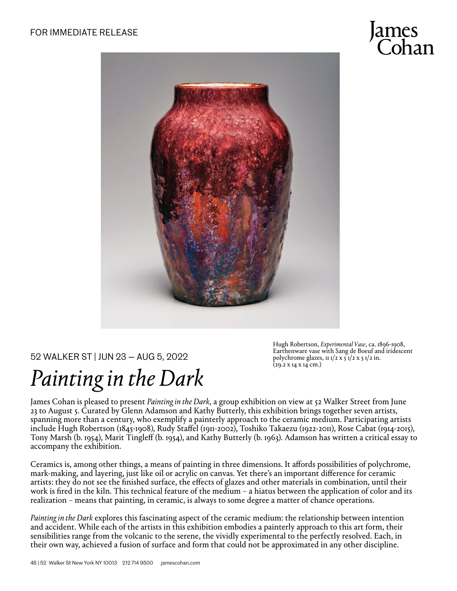

## 52 WALKER ST | JUN 23 — AUG 5, 2022

## *Painting in the Dark*

Hugh Robertson, *Experimental Vase*, ca. 1896-1908, Earthenware vase with Sang de Boeuf and iridescent polychrome glazes,  $\pi$   $1/2$  x  $\pi$   $1/2$  x  $\pi$   $1/2$  in.  $(29.2 \times 14 \times 14 \text{ cm.})$ 

James Cohan is pleased to present *Painting in the Dark*, a group exhibition on view at 52 Walker Street from June 23 to August 5. Curated by Glenn Adamson and Kathy Butterly, this exhibition brings together seven artists, spanning more than a century, who exemplify a painterly approach to the ceramic medium. Participating artists include Hugh Robertson (1845-1908), Rudy Staffel (1911-2002), Toshiko Takaezu (1922-2011), Rose Cabat (1914-2015), Tony Marsh (b. 1954), Marit Tingleff (b. 1954), and Kathy Butterly (b. 1963). Adamson has written a critical essay to accompany the exhibition.

Ceramics is, among other things, a means of painting in three dimensions. It affords possibilities of polychrome, mark-making, and layering, just like oil or acrylic on canvas. Yet there's an important difference for ceramic artists: they do not see the finished surface, the effects of glazes and other materials in combination, until their work is fired in the kiln. This technical feature of the medium – a hiatus between the application of color and its realization – means that painting, in ceramic, is always to some degree a matter of chance operations.

*Painting in the Dark* explores this fascinating aspect of the ceramic medium: the relationship between intention and accident. While each of the artists in this exhibition embodies a painterly approach to this art form, their sensibilities range from the volcanic to the serene, the vividly experimental to the perfectly resolved. Each, in their own way, achieved a fusion of surface and form that could not be approximated in any other discipline.